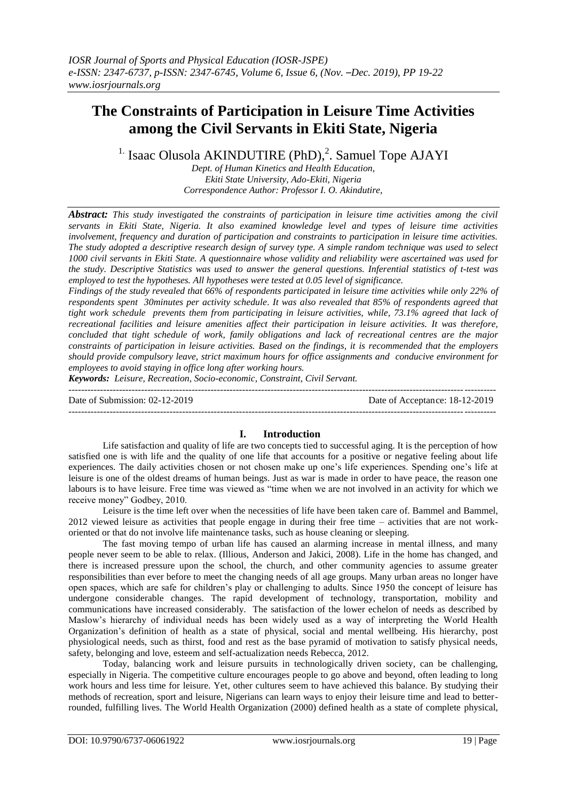# **The Constraints of Participation in Leisure Time Activities among the Civil Servants in Ekiti State, Nigeria**

<sup>1.</sup> Isaac Olusola AKINDUTIRE (PhD),<sup>2</sup>. Samuel Tope AJAYI

*Dept. of Human Kinetics and Health Education, Ekiti State University, Ado-Ekiti, Nigeria Correspondence Author: Professor I. O. Akindutire,*

*Abstract: This study investigated the constraints of participation in leisure time activities among the civil servants in Ekiti State, Nigeria. It also examined knowledge level and types of leisure time activities involvement, frequency and duration of participation and constraints to participation in leisure time activities. The study adopted a descriptive research design of survey type. A simple random technique was used to select 1000 civil servants in Ekiti State. A questionnaire whose validity and reliability were ascertained was used for the study. Descriptive Statistics was used to answer the general questions. Inferential statistics of t-test was employed to test the hypotheses. All hypotheses were tested at 0.05 level of significance.*

*Findings of the study revealed that 66% of respondents participated in leisure time activities while only 22% of respondents spent 30minutes per activity schedule. It was also revealed that 85% of respondents agreed that tight work schedule prevents them from participating in leisure activities, while, 73.1% agreed that lack of recreational facilities and leisure amenities affect their participation in leisure activities. It was therefore, concluded that tight schedule of work, family obligations and lack of recreational centres are the major constraints of participation in leisure activities. Based on the findings, it is recommended that the employers should provide compulsory leave, strict maximum hours for office assignments and conducive environment for employees to avoid staying in office long after working hours.*

*Keywords: Leisure, Recreation, Socio-economic, Constraint, Civil Servant.*

| Date of Submission: $02-12-2019$ | Date of Acceptance: 18-12-2019 |
|----------------------------------|--------------------------------|
|                                  |                                |

## **I. Introduction**

Life satisfaction and quality of life are two concepts tied to successful aging. It is the perception of how satisfied one is with life and the quality of one life that accounts for a positive or negative feeling about life experiences. The daily activities chosen or not chosen make up one's life experiences. Spending one's life at leisure is one of the oldest dreams of human beings. Just as war is made in order to have peace, the reason one labours is to have leisure. Free time was viewed as "time when we are not involved in an activity for which we receive money" Godbey, 2010.

Leisure is the time left over when the necessities of life have been taken care of. Bammel and Bammel, 2012 viewed leisure as activities that people engage in during their free time – activities that are not workoriented or that do not involve life maintenance tasks, such as house cleaning or sleeping.

The fast moving tempo of urban life has caused an alarming increase in mental illness, and many people never seem to be able to relax. (Illious, Anderson and Jakici, 2008). Life in the home has changed, and there is increased pressure upon the school, the church, and other community agencies to assume greater responsibilities than ever before to meet the changing needs of all age groups. Many urban areas no longer have open spaces, which are safe for children's play or challenging to adults. Since 1950 the concept of leisure has undergone considerable changes. The rapid development of technology, transportation, mobility and communications have increased considerably. The satisfaction of the lower echelon of needs as described by Maslow's hierarchy of individual needs has been widely used as a way of interpreting the World Health Organization's definition of health as a state of physical, social and mental wellbeing. His hierarchy, post physiological needs, such as thirst, food and rest as the base pyramid of motivation to satisfy physical needs, safety, belonging and love, esteem and self-actualization needs Rebecca, 2012.

Today, balancing work and leisure pursuits in technologically driven society, can be challenging, especially in Nigeria. The competitive culture encourages people to go above and beyond, often leading to long work hours and less time for leisure. Yet, other cultures seem to have achieved this balance. By studying their methods of recreation, sport and leisure, Nigerians can learn ways to enjoy their leisure time and lead to betterrounded, fulfilling lives. The World Health Organization (2000) defined health as a state of complete physical,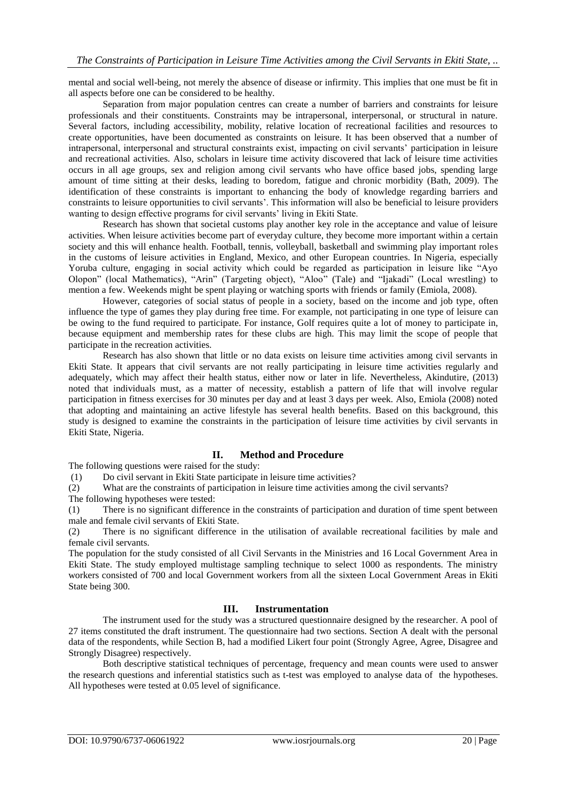mental and social well-being, not merely the absence of disease or infirmity. This implies that one must be fit in all aspects before one can be considered to be healthy.

Separation from major population centres can create a number of barriers and constraints for leisure professionals and their constituents. Constraints may be intrapersonal, interpersonal, or structural in nature. Several factors, including accessibility, mobility, relative location of recreational facilities and resources to create opportunities, have been documented as constraints on leisure. It has been observed that a number of intrapersonal, interpersonal and structural constraints exist, impacting on civil servants' participation in leisure and recreational activities. Also, scholars in leisure time activity discovered that lack of leisure time activities occurs in all age groups, sex and religion among civil servants who have office based jobs, spending large amount of time sitting at their desks, leading to boredom, fatigue and chronic morbidity (Bath, 2009). The identification of these constraints is important to enhancing the body of knowledge regarding barriers and constraints to leisure opportunities to civil servants'. This information will also be beneficial to leisure providers wanting to design effective programs for civil servants' living in Ekiti State.

Research has shown that societal customs play another key role in the acceptance and value of leisure activities. When leisure activities become part of everyday culture, they become more important within a certain society and this will enhance health. Football, tennis, volleyball, basketball and swimming play important roles in the customs of leisure activities in England, Mexico, and other European countries. In Nigeria, especially Yoruba culture, engaging in social activity which could be regarded as participation in leisure like "Ayo Olopon" (local Mathematics), "Arin" (Targeting object), "Aloo" (Tale) and "Ijakadi" (Local wrestling) to mention a few. Weekends might be spent playing or watching sports with friends or family (Emiola, 2008).

However, categories of social status of people in a society, based on the income and job type, often influence the type of games they play during free time. For example, not participating in one type of leisure can be owing to the fund required to participate. For instance, Golf requires quite a lot of money to participate in, because equipment and membership rates for these clubs are high. This may limit the scope of people that participate in the recreation activities.

Research has also shown that little or no data exists on leisure time activities among civil servants in Ekiti State. It appears that civil servants are not really participating in leisure time activities regularly and adequately, which may affect their health status, either now or later in life. Nevertheless, Akindutire, (2013) noted that individuals must, as a matter of necessity, establish a pattern of life that will involve regular participation in fitness exercises for 30 minutes per day and at least 3 days per week. Also, Emiola (2008) noted that adopting and maintaining an active lifestyle has several health benefits. Based on this background, this study is designed to examine the constraints in the participation of leisure time activities by civil servants in Ekiti State, Nigeria.

## **II. Method and Procedure**

The following questions were raised for the study:

(1) Do civil servant in Ekiti State participate in leisure time activities?

(2) What are the constraints of participation in leisure time activities among the civil servants?

The following hypotheses were tested:

(1) There is no significant difference in the constraints of participation and duration of time spent between male and female civil servants of Ekiti State.

(2) There is no significant difference in the utilisation of available recreational facilities by male and female civil servants.

The population for the study consisted of all Civil Servants in the Ministries and 16 Local Government Area in Ekiti State. The study employed multistage sampling technique to select 1000 as respondents. The ministry workers consisted of 700 and local Government workers from all the sixteen Local Government Areas in Ekiti State being 300.

## **III. Instrumentation**

The instrument used for the study was a structured questionnaire designed by the researcher. A pool of 27 items constituted the draft instrument. The questionnaire had two sections. Section A dealt with the personal data of the respondents, while Section B, had a modified Likert four point (Strongly Agree, Agree, Disagree and Strongly Disagree) respectively.

Both descriptive statistical techniques of percentage, frequency and mean counts were used to answer the research questions and inferential statistics such as t-test was employed to analyse data of the hypotheses. All hypotheses were tested at 0.05 level of significance.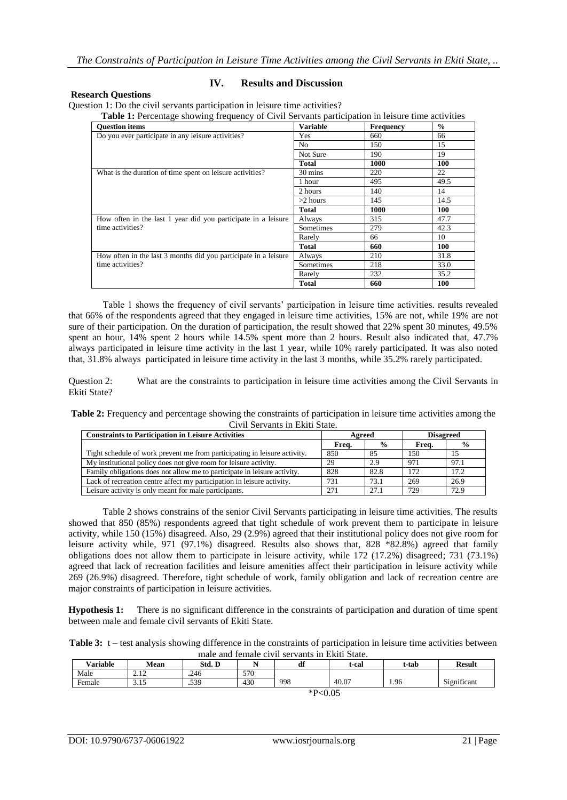#### **Research Questions**

**IV. Results and Discussion**

Question 1: Do the civil servants participation in leisure time activities?<br>Table 1: Percentage showing frequency of Civil Servants partici

| Table 1: Percentage showing frequency of Civil Servants participation in leisure time activities |                 |                  |               |  |  |  |
|--------------------------------------------------------------------------------------------------|-----------------|------------------|---------------|--|--|--|
| <b>Ouestion items</b>                                                                            | <b>Variable</b> | <b>Frequency</b> | $\frac{0}{0}$ |  |  |  |
| Do you ever participate in any leisure activities?                                               | Yes             | 660              | 66            |  |  |  |
|                                                                                                  | No.             | 150              | 15            |  |  |  |
|                                                                                                  | Not Sure        | 190              | 19            |  |  |  |
|                                                                                                  | <b>Total</b>    | 1000             | <b>100</b>    |  |  |  |
| What is the duration of time spent on leisure activities?                                        | 30 mins         | 220              | 22            |  |  |  |
|                                                                                                  | 1 hour          | 495              | 49.5          |  |  |  |
|                                                                                                  | 2 hours         | 140              | 14            |  |  |  |
|                                                                                                  | $>2$ hours      | 145              | 14.5          |  |  |  |
|                                                                                                  | <b>Total</b>    | 1000             | <b>100</b>    |  |  |  |
| How often in the last 1 year did you participate in a leisure                                    | Always          | 315              | 47.7          |  |  |  |
| time activities?                                                                                 | Sometimes       | 279              | 42.3          |  |  |  |
|                                                                                                  | Rarely          | 66               | 10            |  |  |  |
|                                                                                                  | <b>Total</b>    | 660              | <b>100</b>    |  |  |  |
| How often in the last 3 months did you participate in a leisure                                  | Always          | 210              | 31.8          |  |  |  |
| time activities?                                                                                 | Sometimes       | 218              | 33.0          |  |  |  |
|                                                                                                  | Rarely          | 232              | 35.2          |  |  |  |
|                                                                                                  | Total           | 660              | <b>100</b>    |  |  |  |

Table 1 shows the frequency of civil servants' participation in leisure time activities. results revealed that 66% of the respondents agreed that they engaged in leisure time activities, 15% are not, while 19% are not sure of their participation. On the duration of participation, the result showed that 22% spent 30 minutes, 49.5% spent an hour, 14% spent 2 hours while 14.5% spent more than 2 hours. Result also indicated that, 47.7% always participated in leisure time activity in the last 1 year, while 10% rarely participated. It was also noted that, 31.8% always participated in leisure time activity in the last 3 months, while 35.2% rarely participated.

Question 2: What are the constraints to participation in leisure time activities among the Civil Servants in Ekiti State?

**Table 2:** Frequency and percentage showing the constraints of participation in leisure time activities among the Civil Servants in Ekiti State.

| <b>Constraints to Participation in Leisure Activities</b>                 | Agreed |               | <b>Disagreed</b> |               |
|---------------------------------------------------------------------------|--------|---------------|------------------|---------------|
|                                                                           | Frea.  | $\frac{0}{0}$ | Freq.            | $\frac{0}{0}$ |
| Tight schedule of work prevent me from participating in leisure activity. | 850    | 85            | 150              |               |
| My institutional policy does not give room for leisure activity.          | 29     | 2.9           | 971              | 97.1          |
| Family obligations does not allow me to participate in leisure activity.  | 828    | 82.8          | 172              | 17.2          |
| Lack of recreation centre affect my participation in leisure activity.    | 731    | 73.1          | 269              | 26.9          |
| Leisure activity is only meant for male participants.                     | 271    | 27.1          | 729              | 72.9          |

Table 2 shows constrains of the senior Civil Servants participating in leisure time activities. The results showed that 850 (85%) respondents agreed that tight schedule of work prevent them to participate in leisure activity, while 150 (15%) disagreed. Also, 29 (2.9%) agreed that their institutional policy does not give room for leisure activity while, 971 (97.1%) disagreed. Results also shows that, 828 \*82.8%) agreed that family obligations does not allow them to participate in leisure activity, while 172 (17.2%) disagreed; 731 (73.1%) agreed that lack of recreation facilities and leisure amenities affect their participation in leisure activity while 269 (26.9%) disagreed. Therefore, tight schedule of work, family obligation and lack of recreation centre are major constraints of participation in leisure activities.

**Hypothesis 1:** There is no significant difference in the constraints of participation and duration of time spent between male and female civil servants of Ekiti State.

| <b>Table 3:</b> $t$ – test analysis showing difference in the constraints of participation in leisure time activities between |
|-------------------------------------------------------------------------------------------------------------------------------|
| male and female civil servants in Ekiti State.                                                                                |

| -------         |                                 |        |     |     |       |       |               |  |
|-----------------|---------------------------------|--------|-----|-----|-------|-------|---------------|--|
| <b>Variable</b> | Mean                            | Std. D |     | df  | t-cal | t-tab | <b>Result</b> |  |
| Male            | 1 <sub>2</sub><br><u> 2.I D</u> | .246   | 570 |     |       |       |               |  |
| Female          | ر                               | .539   | 430 | 998 | 40.07 | 1.96  | Significant   |  |
| $*P<0.05$       |                                 |        |     |     |       |       |               |  |